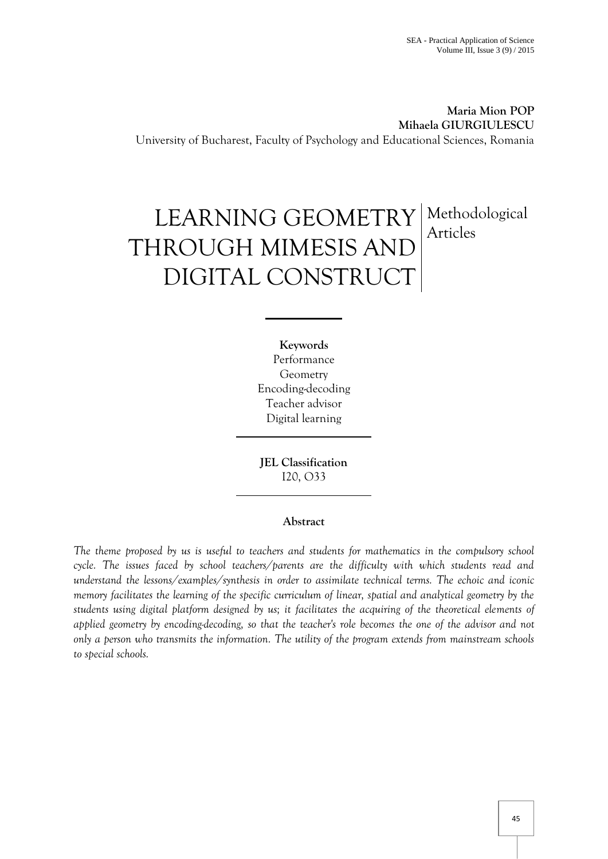**Maria Mion POP Mihaela GIURGIULESCU** University of Bucharest, Faculty of Psychology and Educational Sciences, Romania

# LEARNING GEOMETRY THROUGH MIMESIS AND DIGITAL CONSTRUCT Methodological Articles

**Keywords** Performance Geometry Encoding-decoding Teacher advisor Digital learning

**JEL Classification**  I20, O33

## **Abstract**

The theme proposed by us is useful to teachers and students for mathematics in the compulsory school *cycle. The issues faced by school teachers/parents are the difficulty with which students read and understand the lessons/examples/synthesis in order to assimilate technical terms. The echoic and iconic memory facilitates the learning of the specific curriculum of linear, spatial and analytical geometry by the students using digital platform designed by us; it facilitates the acquiring of the theoretical elements of applied geometry by encoding-decoding, so that the teacher's role becomes the one of the advisor and not only a person who transmits the information. The utility of the program extends from mainstream schools to special schools.*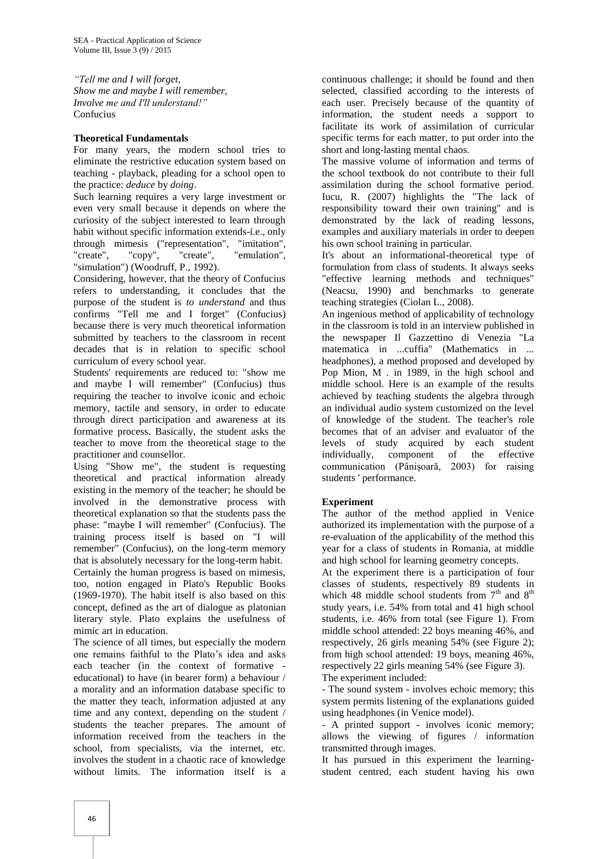*"Tell me and I will forget, Show me and maybe I will remember, Involve me and I'll understand!"* Confucius

## **Theoretical Fundamentals**

For many years, the modern school tries to eliminate the restrictive education system based on teaching - playback, pleading for a school open to the practice: *deduce* by *doing*.

Such learning requires a very large investment or even very small because it depends on where the curiosity of the subject interested to learn through habit without specific information extends-i.e., only through mimesis ("representation", "imitation", "create", "copy", "create", "emulation", "simulation") (Woodruff, P., 1992).

Considering, however, that the theory of Confucius refers to understanding, it concludes that the purpose of the student is *to understand* and thus confirms "Tell me and I forget" (Confucius) because there is very much theoretical information submitted by teachers to the classroom in recent decades that is in relation to specific school curriculum of every school year.

Students' requirements are reduced to: "show me and maybe I will remember" (Confucius) thus requiring the teacher to involve iconic and echoic memory, tactile and sensory, in order to educate through direct participation and awareness at its formative process. Basically, the student asks the teacher to move from the theoretical stage to the practitioner and counsellor.

Using "Show me", the student is requesting theoretical and practical information already existing in the memory of the teacher; he should be involved in the demonstrative process with theoretical explanation so that the students pass the phase: "maybe I will remember" (Confucius). The training process itself is based on "I will remember" (Confucius), on the long-term memory that is absolutely necessary for the long-term habit. Certainly the human progress is based on mimesis,

too, notion engaged in Plato's Republic Books (1969-1970). The habit itself is also based on this concept, defined as the art of dialogue as platonian literary style. Plato explains the usefulness of mimic art in education.

The science of all times, but especially the modern one remains faithful to the Plato's idea and asks each teacher (in the context of formative educational) to have (in bearer form) a behaviour / a morality and an information database specific to the matter they teach, information adjusted at any time and any context, depending on the student / students the teacher prepares. The amount of information received from the teachers in the school, from specialists, via the internet, etc. involves the student in a chaotic race of knowledge without limits. The information itself is a continuous challenge; it should be found and then selected, classified according to the interests of each user. Precisely because of the quantity of information, the student needs a support to facilitate its work of assimilation of curricular specific terms for each matter, to put order into the short and long-lasting mental chaos.

The massive volume of information and terms of the school textbook do not contribute to their full assimilation during the school formative period. Iucu, R. (2007) highlights the "The lack of responsibility toward their own training" and is demonstrated by the lack of reading lessons, examples and auxiliary materials in order to deepen his own school training in particular.

It's about an informational-theoretical type of formulation from class of students. It always seeks "effective learning methods and techniques" (Neacsu, 1990) and benchmarks to generate teaching strategies (Ciolan L., 2008).

An ingenious method of applicability of technology in the classroom is told in an interview published in the newspaper Il Gazzettino di Venezia "La matematica in ...cuffia" (Mathematics in ... headphones), a method proposed and developed by Pop Mion, M . in 1989, in the high school and middle school. Here is an example of the results achieved by teaching students the algebra through an individual audio system customized on the level of knowledge of the student. The teacher's role becomes that of an adviser and evaluator of the levels of study acquired by each student individually, component of the effective communication (Pânișoară, 2003) for raising students ' performance.

## **Experiment**

The author of the method applied in Venice authorized its implementation with the purpose of a re-evaluation of the applicability of the method this year for a class of students in Romania, at middle and high school for learning geometry concepts.

At the experiment there is a participation of four classes of students, respectively 89 students in which 48 middle school students from  $7<sup>th</sup>$  and  $8<sup>th</sup>$ study years, i.e. 54% from total and 41 high school students, i.e. 46% from total (see Figure 1). From middle school attended: 22 boys meaning 46%, and respectively, 26 girls meaning 54% (see Figure 2); from high school attended: 19 boys, meaning 46%, respectively 22 girls meaning 54% (see Figure 3). The experiment included:

- The sound system - involves echoic memory; this system permits listening of the explanations guided using headphones (in Venice model).

- A printed support - involves iconic memory; allows the viewing of figures / information transmitted through images.

It has pursued in this experiment the learningstudent centred, each student having his own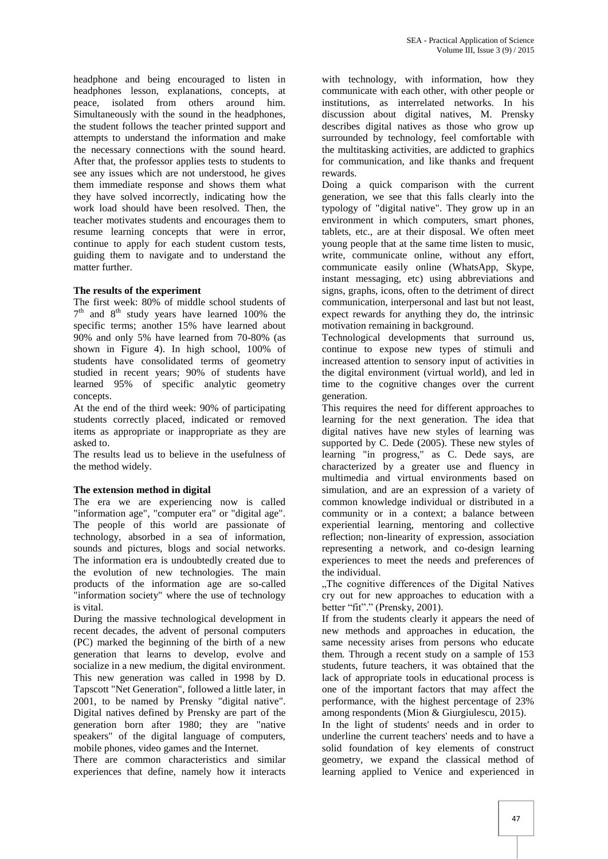headphone and being encouraged to listen in headphones lesson, explanations, concepts, at peace, isolated from others around him. Simultaneously with the sound in the headphones, the student follows the teacher printed support and attempts to understand the information and make the necessary connections with the sound heard. After that, the professor applies tests to students to see any issues which are not understood, he gives them immediate response and shows them what they have solved incorrectly, indicating how the work load should have been resolved. Then, the teacher motivates students and encourages them to resume learning concepts that were in error, continue to apply for each student custom tests, guiding them to navigate and to understand the matter further.

## **The results of the experiment**

The first week: 80% of middle school students of  $7<sup>th</sup>$  and  $8<sup>th</sup>$  study years have learned 100% the specific terms; another 15% have learned about 90% and only 5% have learned from 70-80% (as shown in Figure 4). In high school, 100% of students have consolidated terms of geometry studied in recent years; 90% of students have learned 95% of specific analytic geometry concepts.

At the end of the third week: 90% of participating students correctly placed, indicated or removed items as appropriate or inappropriate as they are asked to.

The results lead us to believe in the usefulness of the method widely.

## **The extension method in digital**

The era we are experiencing now is called "information age", "computer era" or "digital age". The people of this world are passionate of technology, absorbed in a sea of information, sounds and pictures, blogs and social networks. The information era is undoubtedly created due to the evolution of new technologies. The main products of the information age are so-called "information society" where the use of technology is vital.

During the massive technological development in recent decades, the advent of personal computers (PC) marked the beginning of the birth of a new generation that learns to develop, evolve and socialize in a new medium, the digital environment. This new generation was called in 1998 by D. Tapscott "Net Generation", followed a little later, in 2001, to be named by Prensky "digital native". Digital natives defined by Prensky are part of the generation born after 1980; they are "native speakers" of the digital language of computers, mobile phones, video games and the Internet.

There are common characteristics and similar experiences that define, namely how it interacts

with technology, with information, how they communicate with each other, with other people or institutions, as interrelated networks. In his discussion about digital natives, M. Prensky describes digital natives as those who grow up surrounded by technology, feel comfortable with the multitasking activities, are addicted to graphics for communication, and like thanks and frequent rewards.

Doing a quick comparison with the current generation, we see that this falls clearly into the typology of "digital native". They grow up in an environment in which computers, smart phones, tablets, etc., are at their disposal. We often meet young people that at the same time listen to music, write, communicate online, without any effort, communicate easily online (WhatsApp, Skype, instant messaging, etc) using abbreviations and signs, graphs, icons, often to the detriment of direct communication, interpersonal and last but not least, expect rewards for anything they do, the intrinsic motivation remaining in background.

Technological developments that surround us, continue to expose new types of stimuli and increased attention to sensory input of activities in the digital environment (virtual world), and led in time to the cognitive changes over the current generation.

This requires the need for different approaches to learning for the next generation. The idea that digital natives have new styles of learning was supported by C. Dede (2005). These new styles of learning "in progress," as C. Dede says, are characterized by a greater use and fluency in multimedia and virtual environments based on simulation, and are an expression of a variety of common knowledge individual or distributed in a community or in a context; a balance between experiential learning, mentoring and collective reflection; non-linearity of expression, association representing a network, and co-design learning experiences to meet the needs and preferences of the individual.

..The cognitive differences of the Digital Natives cry out for new approaches to education with a better "fit"." (Prensky, 2001).

If from the students clearly it appears the need of new methods and approaches in education, the same necessity arises from persons who educate them. Through a recent study on a sample of 153 students, future teachers, it was obtained that the lack of appropriate tools in educational process is one of the important factors that may affect the performance, with the highest percentage of 23% among respondents (Mion & Giurgiulescu, 2015).

In the light of students' needs and in order to underline the current teachers' needs and to have a solid foundation of key elements of construct geometry, we expand the classical method of learning applied to Venice and experienced in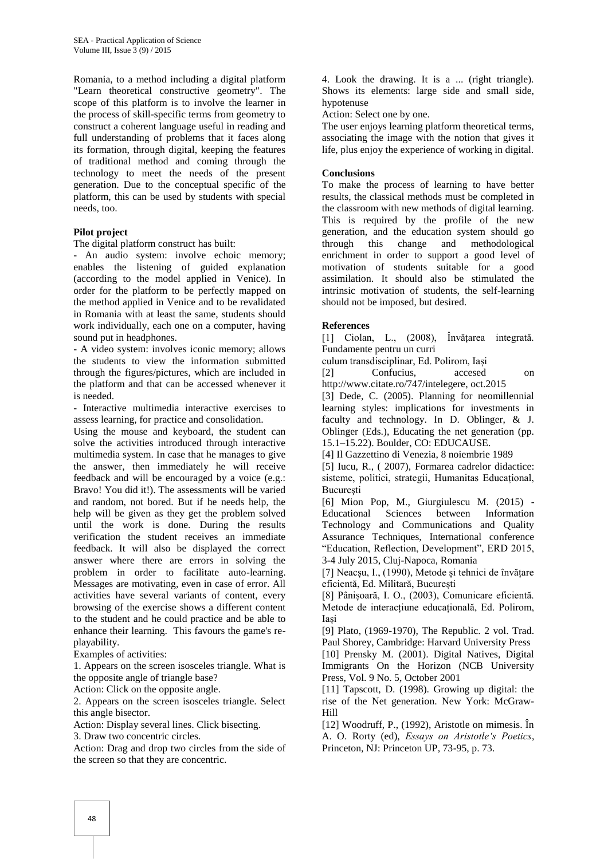Romania, to a method including a digital platform "Learn theoretical constructive geometry". The scope of this platform is to involve the learner in the process of skill-specific terms from geometry to construct a coherent language useful in reading and full understanding of problems that it faces along its formation, through digital, keeping the features of traditional method and coming through the technology to meet the needs of the present generation. Due to the conceptual specific of the platform, this can be used by students with special needs, too.

## **Pilot project**

The digital platform construct has built:

- An audio system: involve echoic memory; enables the listening of guided explanation (according to the model applied in Venice). In order for the platform to be perfectly mapped on the method applied in Venice and to be revalidated in Romania with at least the same, students should work individually, each one on a computer, having sound put in headphones.

- A video system: involves iconic memory; allows the students to view the information submitted through the figures/pictures, which are included in the platform and that can be accessed whenever it is needed.

- Interactive multimedia interactive exercises to assess learning, for practice and consolidation.

Using the mouse and keyboard, the student can solve the activities introduced through interactive multimedia system. In case that he manages to give the answer, then immediately he will receive feedback and will be encouraged by a voice (e.g.: Bravo! You did it!). The assessments will be varied and random, not bored. But if he needs help, the help will be given as they get the problem solved until the work is done. During the results verification the student receives an immediate feedback. It will also be displayed the correct answer where there are errors in solving the problem in order to facilitate auto-learning. Messages are motivating, even in case of error. All activities have several variants of content, every browsing of the exercise shows a different content to the student and he could practice and be able to enhance their learning. This favours the game's replayability.

Examples of activities:

1. Appears on the screen isosceles triangle. What is the opposite angle of triangle base?

Action: Click on the opposite angle.

2. Appears on the screen isosceles triangle. Select this angle bisector.

Action: Display several lines. Click bisecting.

3. Draw two concentric circles.

Action: Drag and drop two circles from the side of the screen so that they are concentric.

4. Look the drawing. It is a ... (right triangle). Shows its elements: large side and small side, hypotenuse

Action: Select one by one.

The user enjoys learning platform theoretical terms, associating the image with the notion that gives it life, plus enjoy the experience of working in digital.

#### **Conclusions**

To make the process of learning to have better results, the classical methods must be completed in the classroom with new methods of digital learning. This is required by the profile of the new generation, and the education system should go through this change and methodological enrichment in order to support a good level of motivation of students suitable for a good assimilation. It should also be stimulated the intrinsic motivation of students, the self-learning should not be imposed, but desired.

## **References**

[1] Ciolan, L., (2008), Învățarea integrată. Fundamente pentru un curri

culum transdisciplinar, Ed. Polirom, Iași

[2] Confucius, accesed on [http://www.citate.ro/747/intelegere,](http://www.citate.ro/747/intelegere) oct.2015

[3] Dede, C. (2005). Planning for neomillennial learning styles: implications for investments in faculty and technology. In D. Oblinger, & J. Oblinger (Eds.), Educating the net generation (pp. 15.1–15.22). Boulder, CO: EDUCAUSE.

[4] Il Gazzettino di Venezia, 8 noiembrie 1989

[5] Iucu, R., ( 2007), Formarea cadrelor didactice: sisteme, politici, strategii, Humanitas Educațional, **Bucuresti** 

[6] Mion Pop, M., Giurgiulescu M. (2015) - Educational Sciences between Information Technology and Communications and Quality Assurance Techniques, International conference "Education, Reflection, Development", ERD 2015, 3-4 July 2015, Cluj-Napoca, Romania

[7] Neacșu, I., (1990), Metode și tehnici de învățare eficientă, Ed. Militară, București

[8] Pânișoară, I. O., (2003), Comunicare eficientă. Metode de interacțiune educațională, Ed. Polirom, Iași

[9] Plato, (1969-1970), The Republic. 2 vol. Trad. Paul Shorey, Cambridge: Harvard University Press [10] Prensky M. (2001). Digital Natives, Digital

Immigrants On the Horizon (NCB University Press, Vol. 9 No. 5, October 2001

[11] Tapscott, D. (1998). Growing up digital: the rise of the Net generation. New York: McGraw-Hill

[12] Woodruff, P., (1992), Aristotle on mimesis. În A. O. Rorty (ed), *Essays on Aristotle"s Poetics*, Princeton, NJ: Princeton UP, 73-95, p. 73.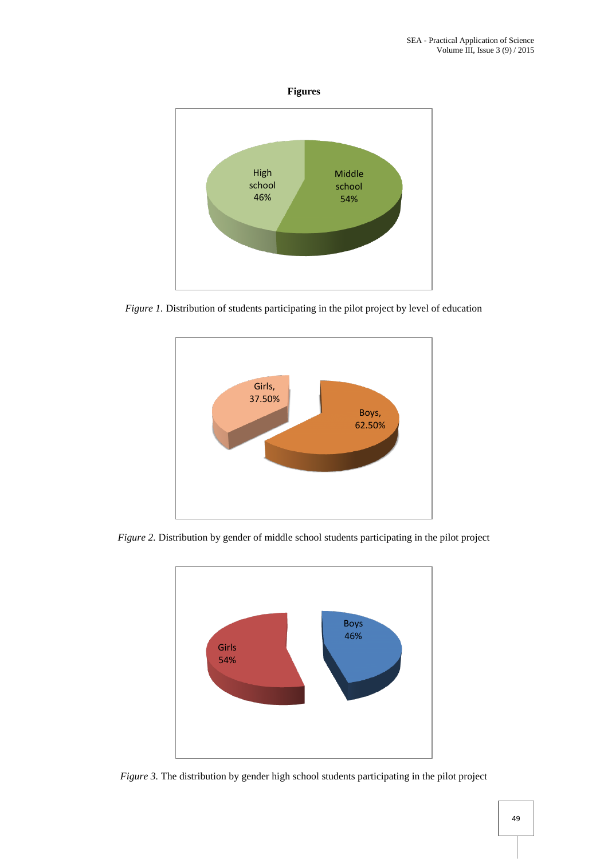



*Figure 1.* Distribution of students participating in the pilot project by level of education



*Figure 2.* Distribution by gender of middle school students participating in the pilot project



*Figure 3.* The distribution by gender high school students participating in the pilot project